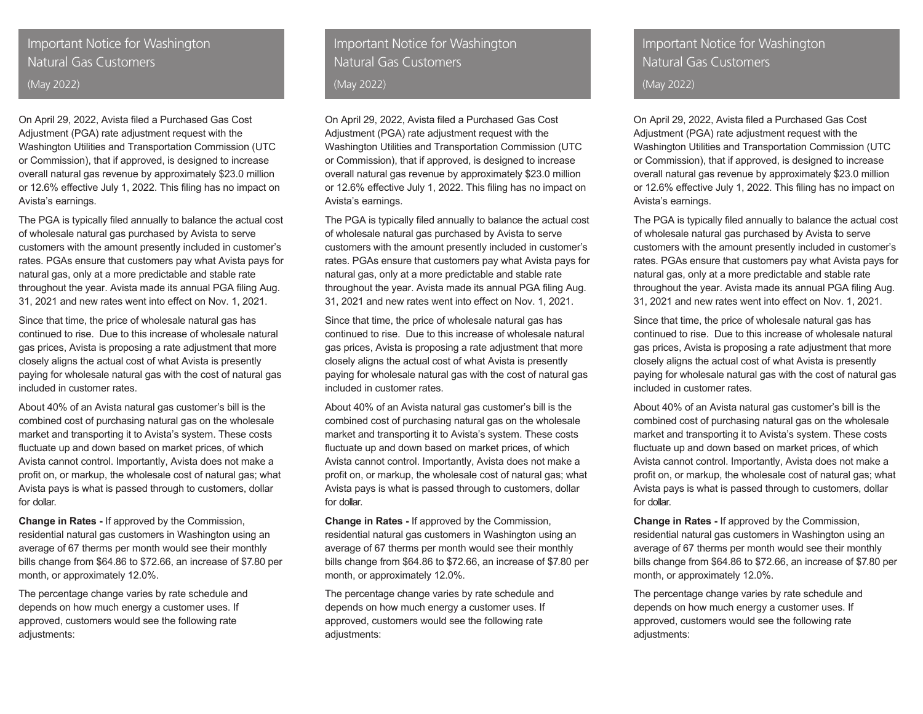# Important Notice for Washington Natural Gas Customers (May 2022)

On April 29, 2022, Avista filed a Purchased Gas Cost Adjustment (PGA) rate adjustment request with the Washington Utilities and Transportation Commission (UTC or Commission), that if approved, is designed to increase overall natural gas revenue by approximately \$23.0 million or 12.6% effective July 1, 2022. This filing has no impact on Avista's earnings.

The PGA is typically filed annually to balance the actual cost of wholesale natural gas purchased by Avista to serve customers with the amount presently included in customer's rates. PGAs ensure that customers pay what Avista pays for natural gas, only at a more predictable and stable rate throughout the year. Avista made its annual PGA filing Aug. 31, 2021 and new rates went into effect on Nov. 1, 2021.

Since that time, the price of wholesale natural gas has continued to rise. Due to this increase of wholesale natural gas prices, Avista is proposing a rate adjustment that more closely aligns the actual cost of what Avista is presently paying for wholesale natural gas with the cost of natural gas included in customer rates.

About 40% of an Avista natural gas customer's bill is the combined cost of purchasing natural gas on the wholesale market and transporting it to Avista's system. These costs fluctuate up and down based on market prices, of which Avista cannot control. Importantly, Avista does not make a profit on, or markup, the wholesale cost of natural gas; what Avista pays is what is passed through to customers, dollar for dollar.

**Change in Rates -** If approved by the Commission, residential natural gas customers in Washington using an average of 67 therms per month would see their monthly bills change from \$64.86 to \$72.66, an increase of \$7.80 per month, or approximately 12.0%.

The percentage change varies by rate schedule and depends on how much energy a customer uses. If approved, customers would see the following rate adiustments:

# Important Notice for Washington Natural Gas Customers (May 2022)

On April 29, 2022, Avista filed a Purchased Gas Cost Adjustment (PGA) rate adjustment request with the Washington Utilities and Transportation Commission (UTC or Commission), that if approved, is designed to increase overall natural gas revenue by approximately \$23.0 million or 12.6% effective July 1, 2022. This filing has no impact on Avista's earnings.

The PGA is typically filed annually to balance the actual cost of wholesale natural gas purchased by Avista to serve customers with the amount presently included in customer's rates. PGAs ensure that customers pay what Avista pays for natural gas, only at a more predictable and stable rate throughout the year. Avista made its annual PGA filing Aug. 31, 2021 and new rates went into effect on Nov. 1, 2021.

Since that time, the price of wholesale natural gas has continued to rise. Due to this increase of wholesale natural gas prices, Avista is proposing a rate adjustment that more closely aligns the actual cost of what Avista is presently paying for wholesale natural gas with the cost of natural gas included in customer rates.

About 40% of an Avista natural gas customer's bill is the combined cost of purchasing natural gas on the wholesale market and transporting it to Avista's system. These costs fluctuate up and down based on market prices, of which Avista cannot control. Importantly, Avista does not make a profit on, or markup, the wholesale cost of natural gas; what Avista pays is what is passed through to customers, dollar for dollar.

**Change in Rates -** If approved by the Commission, residential natural gas customers in Washington using an average of 67 therms per month would see their monthly bills change from \$64.86 to \$72.66, an increase of \$7.80 per month, or approximately 12.0%.

The percentage change varies by rate schedule and depends on how much energy a customer uses. If approved, customers would see the following rate adjustments:

Important Notice for Washington Natural Gas Customers

(May 2022)

On April 29, 2022, Avista filed a Purchased Gas Cost Adjustment (PGA) rate adjustment request with the Washington Utilities and Transportation Commission (UTC or Commission), that if approved, is designed to increase overall natural gas revenue by approximately \$23.0 million or 12.6% effective July 1, 2022. This filing has no impact on Avista's earnings.

The PGA is typically filed annually to balance the actual cost of wholesale natural gas purchased by Avista to serve customers with the amount presently included in customer's rates. PGAs ensure that customers pay what Avista pays for natural gas, only at a more predictable and stable rate throughout the year. Avista made its annual PGA filing Aug. 31, 2021 and new rates went into effect on Nov. 1, 2021.

Since that time, the price of wholesale natural gas has continued to rise. Due to this increase of wholesale natural gas prices, Avista is proposing a rate adjustment that more closely aligns the actual cost of what Avista is presently paying for wholesale natural gas with the cost of natural gas included in customer rates.

About 40% of an Avista natural gas customer's bill is the combined cost of purchasing natural gas on the wholesale market and transporting it to Avista's system. These costs fluctuate up and down based on market prices, of which Avista cannot control. Importantly, Avista does not make a profit on, or markup, the wholesale cost of natural gas; what Avista pays is what is passed through to customers, dollar for dollar.

**Change in Rates -** If approved by the Commission, residential natural gas customers in Washington using an average of 67 therms per month would see their monthly bills change from \$64.86 to \$72.66, an increase of \$7.80 per month, or approximately 12.0%.

The percentage change varies by rate schedule and depends on how much energy a customer uses. If approved, customers would see the following rate adjustments: